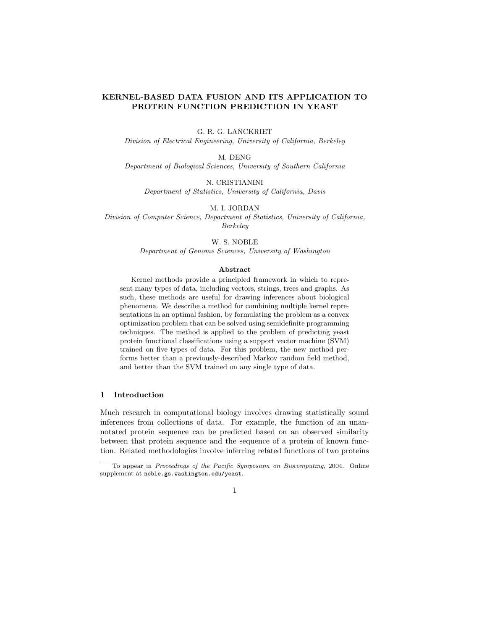## KERNEL-BASED DATA FUSION AND ITS APPLICATION TO PROTEIN FUNCTION PREDICTION IN YEAST

G. R. G. LANCKRIET

Division of Electrical Engineering, University of California, Berkeley

M. DENG

Department of Biological Sciences, University of Southern California

N. CRISTIANINI Department of Statistics, University of California, Davis

M. I. JORDAN

Division of Computer Science, Department of Statistics, University of California, Berkeley

W. S. NOBLE

Department of Genome Sciences, University of Washington

#### Abstract

Kernel methods provide a principled framework in which to represent many types of data, including vectors, strings, trees and graphs. As such, these methods are useful for drawing inferences about biological phenomena. We describe a method for combining multiple kernel representations in an optimal fashion, by formulating the problem as a convex optimization problem that can be solved using semidefinite programming techniques. The method is applied to the problem of predicting yeast protein functional classifications using a support vector machine (SVM) trained on five types of data. For this problem, the new method performs better than a previously-described Markov random field method, and better than the SVM trained on any single type of data.

## 1 Introduction

Much research in computational biology involves drawing statistically sound inferences from collections of data. For example, the function of an unannotated protein sequence can be predicted based on an observed similarity between that protein sequence and the sequence of a protein of known function. Related methodologies involve inferring related functions of two proteins

To appear in Proceedings of the Pacific Symposium on Biocomputing, 2004. Online supplement at noble.gs.washington.edu/yeast.

<sup>1</sup>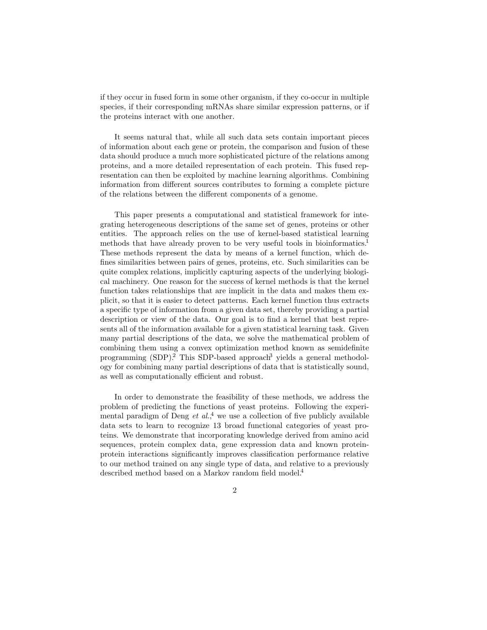if they occur in fused form in some other organism, if they co-occur in multiple species, if their corresponding mRNAs share similar expression patterns, or if the proteins interact with one another.

It seems natural that, while all such data sets contain important pieces of information about each gene or protein, the comparison and fusion of these data should produce a much more sophisticated picture of the relations among proteins, and a more detailed representation of each protein. This fused representation can then be exploited by machine learning algorithms. Combining information from different sources contributes to forming a complete picture of the relations between the different components of a genome.

This paper presents a computational and statistical framework for integrating heterogeneous descriptions of the same set of genes, proteins or other entities. The approach relies on the use of kernel-based statistical learning methods that have already proven to be very useful tools in bioinformatics.<sup>1</sup> These methods represent the data by means of a kernel function, which defines similarities between pairs of genes, proteins, etc. Such similarities can be quite complex relations, implicitly capturing aspects of the underlying biological machinery. One reason for the success of kernel methods is that the kernel function takes relationships that are implicit in the data and makes them explicit, so that it is easier to detect patterns. Each kernel function thus extracts a specific type of information from a given data set, thereby providing a partial description or view of the data. Our goal is to find a kernel that best represents all of the information available for a given statistical learning task. Given many partial descriptions of the data, we solve the mathematical problem of combining them using a convex optimization method known as semidefinite programming (SDP).<sup>2</sup> This SDP-based approach<sup>3</sup> yields a general methodology for combining many partial descriptions of data that is statistically sound, as well as computationally efficient and robust.

In order to demonstrate the feasibility of these methods, we address the problem of predicting the functions of yeast proteins. Following the experimental paradigm of Deng  $et\ al.^4$  we use a collection of five publicly available data sets to learn to recognize 13 broad functional categories of yeast proteins. We demonstrate that incorporating knowledge derived from amino acid sequences, protein complex data, gene expression data and known proteinprotein interactions significantly improves classification performance relative to our method trained on any single type of data, and relative to a previously described method based on a Markov random field model.<sup>4</sup>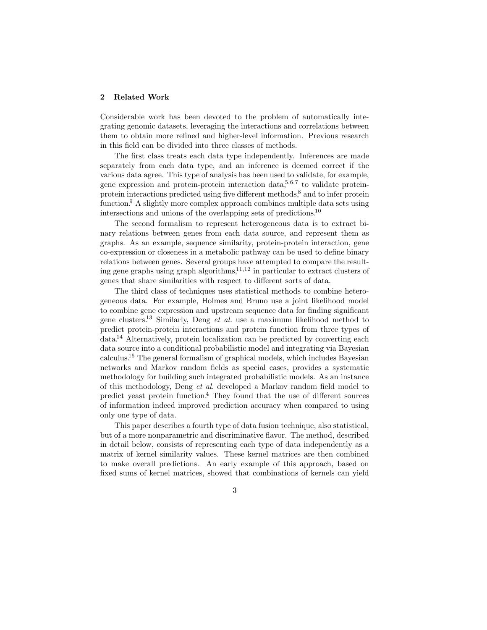#### 2 Related Work

Considerable work has been devoted to the problem of automatically integrating genomic datasets, leveraging the interactions and correlations between them to obtain more refined and higher-level information. Previous research in this field can be divided into three classes of methods.

The first class treats each data type independently. Inferences are made separately from each data type, and an inference is deemed correct if the various data agree. This type of analysis has been used to validate, for example, gene expression and protein-protein interaction data,5,6,<sup>7</sup> to validate proteinprotein interactions predicted using five different methods,<sup>8</sup> and to infer protein function.<sup>9</sup> A slightly more complex approach combines multiple data sets using intersections and unions of the overlapping sets of predictions.<sup>10</sup>

The second formalism to represent heterogeneous data is to extract binary relations between genes from each data source, and represent them as graphs. As an example, sequence similarity, protein-protein interaction, gene co-expression or closeness in a metabolic pathway can be used to define binary relations between genes. Several groups have attempted to compare the resulting gene graphs using graph algorithms, $1^{1,12}$  in particular to extract clusters of genes that share similarities with respect to different sorts of data.

The third class of techniques uses statistical methods to combine heterogeneous data. For example, Holmes and Bruno use a joint likelihood model to combine gene expression and upstream sequence data for finding significant gene clusters.<sup>13</sup> Similarly, Deng *et al.* use a maximum likelihood method to predict protein-protein interactions and protein function from three types of data.<sup>14</sup> Alternatively, protein localization can be predicted by converting each data source into a conditional probabilistic model and integrating via Bayesian calculus.<sup>15</sup> The general formalism of graphical models, which includes Bayesian networks and Markov random fields as special cases, provides a systematic methodology for building such integrated probabilistic models. As an instance of this methodology, Deng et al. developed a Markov random field model to predict yeast protein function.<sup>4</sup> They found that the use of different sources of information indeed improved prediction accuracy when compared to using only one type of data.

This paper describes a fourth type of data fusion technique, also statistical, but of a more nonparametric and discriminative flavor. The method, described in detail below, consists of representing each type of data independently as a matrix of kernel similarity values. These kernel matrices are then combined to make overall predictions. An early example of this approach, based on fixed sums of kernel matrices, showed that combinations of kernels can yield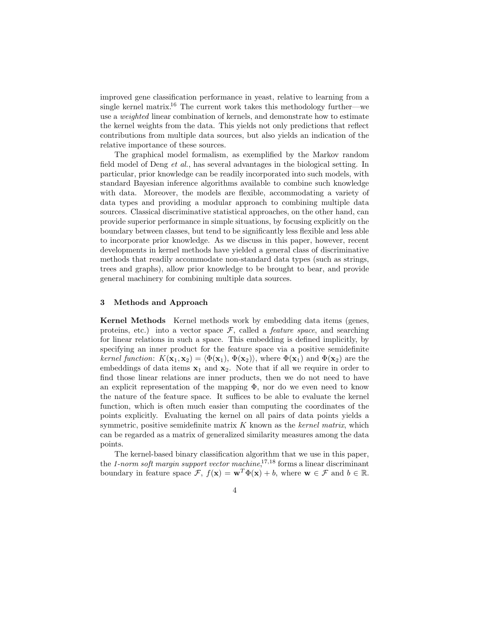improved gene classification performance in yeast, relative to learning from a single kernel matrix.<sup>16</sup> The current work takes this methodology further—we use a weighted linear combination of kernels, and demonstrate how to estimate the kernel weights from the data. This yields not only predictions that reflect contributions from multiple data sources, but also yields an indication of the relative importance of these sources.

The graphical model formalism, as exemplified by the Markov random field model of Deng et al., has several advantages in the biological setting. In particular, prior knowledge can be readily incorporated into such models, with standard Bayesian inference algorithms available to combine such knowledge with data. Moreover, the models are flexible, accommodating a variety of data types and providing a modular approach to combining multiple data sources. Classical discriminative statistical approaches, on the other hand, can provide superior performance in simple situations, by focusing explicitly on the boundary between classes, but tend to be significantly less flexible and less able to incorporate prior knowledge. As we discuss in this paper, however, recent developments in kernel methods have yielded a general class of discriminative methods that readily accommodate non-standard data types (such as strings, trees and graphs), allow prior knowledge to be brought to bear, and provide general machinery for combining multiple data sources.

### 3 Methods and Approach

Kernel Methods Kernel methods work by embedding data items (genes, proteins, etc.) into a vector space  $\mathcal{F}$ , called a *feature space*, and searching for linear relations in such a space. This embedding is defined implicitly, by specifying an inner product for the feature space via a positive semidefinite kernel function:  $K(\mathbf{x}_1, \mathbf{x}_2) = \langle \Phi(\mathbf{x}_1), \Phi(\mathbf{x}_2) \rangle$ , where  $\Phi(\mathbf{x}_1)$  and  $\Phi(\mathbf{x}_2)$  are the embeddings of data items  $x_1$  and  $x_2$ . Note that if all we require in order to find those linear relations are inner products, then we do not need to have an explicit representation of the mapping  $\Phi$ , nor do we even need to know the nature of the feature space. It suffices to be able to evaluate the kernel function, which is often much easier than computing the coordinates of the points explicitly. Evaluating the kernel on all pairs of data points yields a symmetric, positive semidefinite matrix  $K$  known as the *kernel matrix*, which can be regarded as a matrix of generalized similarity measures among the data points.

The kernel-based binary classification algorithm that we use in this paper, the 1-norm soft margin support vector machine,<sup>17,18</sup> forms a linear discriminant boundary in feature space  $\mathcal{F}, f(\mathbf{x}) = \mathbf{w}^T \Phi(\mathbf{x}) + b$ , where  $\mathbf{w} \in \mathcal{F}$  and  $b \in \mathbb{R}$ .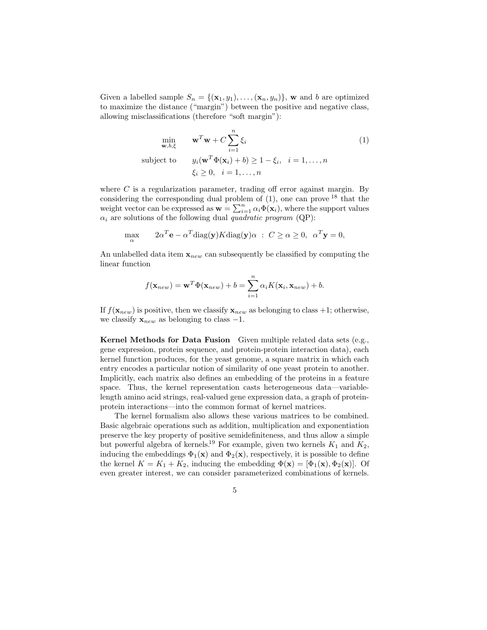Given a labelled sample  $S_n = \{(\mathbf{x}_1, y_1), \ldots, (\mathbf{x}_n, y_n)\}\,$ , w and b are optimized to maximize the distance ("margin") between the positive and negative class, allowing misclassifications (therefore "soft margin"):

$$
\min_{\mathbf{w},b,\xi} \qquad \mathbf{w}^T \mathbf{w} + C \sum_{i=1}^n \xi_i \tag{1}
$$

subject to 
$$
y_i(\mathbf{w}^T \Phi(\mathbf{x}_i) + b) \ge 1 - \xi_i, \quad i = 1, ..., n
$$

$$
\xi_i \ge 0, \quad i = 1, ..., n
$$

where  $C$  is a regularization parameter, trading off error against margin. By considering the corresponding dual problem of (1), one can prove <sup>18</sup> that the weight vector can be expressed as  $\mathbf{w} = \sum_{i=1}^{n} \alpha_i \Phi(\mathbf{x}_i)$ , where the support values  $\alpha_i$  are solutions of the following dual quadratic program (QP):

$$
\max_{\alpha} \qquad 2\alpha^T \mathbf{e} - \alpha^T \text{diag}(\mathbf{y}) K \text{diag}(\mathbf{y}) \alpha \; : \; C \ge \alpha \ge 0, \; \; \alpha^T \mathbf{y} = 0,
$$

An unlabelled data item  $\mathbf{x}_{new}$  can subsequently be classified by computing the linear function

$$
f(\mathbf{x}_{new}) = \mathbf{w}^T \Phi(\mathbf{x}_{new}) + b = \sum_{i=1}^n \alpha_i K(\mathbf{x}_i, \mathbf{x}_{new}) + b.
$$

If  $f(\mathbf{x}_{new})$  is positive, then we classify  $\mathbf{x}_{new}$  as belonging to class +1; otherwise, we classify  $\mathbf{x}_{new}$  as belonging to class  $-1$ .

Kernel Methods for Data Fusion Given multiple related data sets (e.g., gene expression, protein sequence, and protein-protein interaction data), each kernel function produces, for the yeast genome, a square matrix in which each entry encodes a particular notion of similarity of one yeast protein to another. Implicitly, each matrix also defines an embedding of the proteins in a feature space. Thus, the kernel representation casts heterogeneous data—variablelength amino acid strings, real-valued gene expression data, a graph of proteinprotein interactions—into the common format of kernel matrices.

The kernel formalism also allows these various matrices to be combined. Basic algebraic operations such as addition, multiplication and exponentiation preserve the key property of positive semidefiniteness, and thus allow a simple but powerful algebra of kernels.<sup>19</sup> For example, given two kernels  $K_1$  and  $K_2$ , inducing the embeddings  $\Phi_1(\mathbf{x})$  and  $\Phi_2(\mathbf{x})$ , respectively, it is possible to define the kernel  $K = K_1 + K_2$ , inducing the embedding  $\Phi(\mathbf{x}) = [\Phi_1(\mathbf{x}), \Phi_2(\mathbf{x})]$ . Of even greater interest, we can consider parameterized combinations of kernels.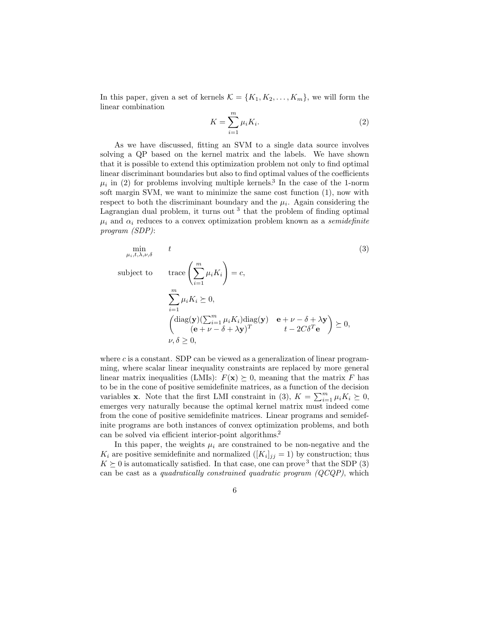In this paper, given a set of kernels  $\mathcal{K} = \{K_1, K_2, \ldots, K_m\}$ , we will form the linear combination

$$
K = \sum_{i=1}^{m} \mu_i K_i.
$$
 (2)

As we have discussed, fitting an SVM to a single data source involves solving a QP based on the kernel matrix and the labels. We have shown that it is possible to extend this optimization problem not only to find optimal linear discriminant boundaries but also to find optimal values of the coefficients  $\mu_i$  in (2) for problems involving multiple kernels.<sup>3</sup> In the case of the 1-norm soft margin SVM, we want to minimize the same cost function (1), now with respect to both the discriminant boundary and the  $\mu_i$ . Again considering the Lagrangian dual problem, it turns out<sup>3</sup> that the problem of finding optimal  $\mu_i$  and  $\alpha_i$  reduces to a convex optimization problem known as a *semidefinite* program (SDP):

$$
\min_{\mu_i, t, \lambda, \nu, \delta} t
$$
\nsubject to

\n
$$
\operatorname{trace} \left( \sum_{i=1}^{m} \mu_i K_i \right) = c,
$$
\n
$$
\sum_{i=1}^{m} \mu_i K_i \succeq 0,
$$
\n
$$
\left( \operatorname{diag}(\mathbf{y}) (\sum_{i=1}^{m} \mu_i K_i) \operatorname{diag}(\mathbf{y}) \quad \mathbf{e} + \nu - \delta + \lambda \mathbf{y} \right) \succeq 0,
$$
\n
$$
\left( \mathbf{e} + \nu - \delta + \lambda \mathbf{y} \right)^T \quad t - 2C \delta^T \mathbf{e} \right) \succeq 0,
$$
\n
$$
\nu, \delta \geq 0,
$$
\n
$$
(3)
$$

where  $c$  is a constant. SDP can be viewed as a generalization of linear programming, where scalar linear inequality constraints are replaced by more general linear matrix inequalities (LMIs):  $F(\mathbf{x}) \succeq 0$ , meaning that the matrix F has to be in the cone of positive semidefinite matrices, as a function of the decision variables **x**. Note that the first LMI constraint in (3),  $K = \sum_{i=1}^{m} \mu_i K_i \succeq 0$ , emerges very naturally because the optimal kernel matrix must indeed come from the cone of positive semidefinite matrices. Linear programs and semidefinite programs are both instances of convex optimization problems, and both can be solved via efficient interior-point algorithms.<sup>2</sup>

In this paper, the weights  $\mu_i$  are constrained to be non-negative and the  $K_i$  are positive semidefinite and normalized  $([K_i]_{jj} = 1)$  by construction; thus  $K \succeq 0$  is automatically satisfied. In that case, one can prove <sup>3</sup> that the SDP (3) can be cast as a quadratically constrained quadratic program (QCQP), which

6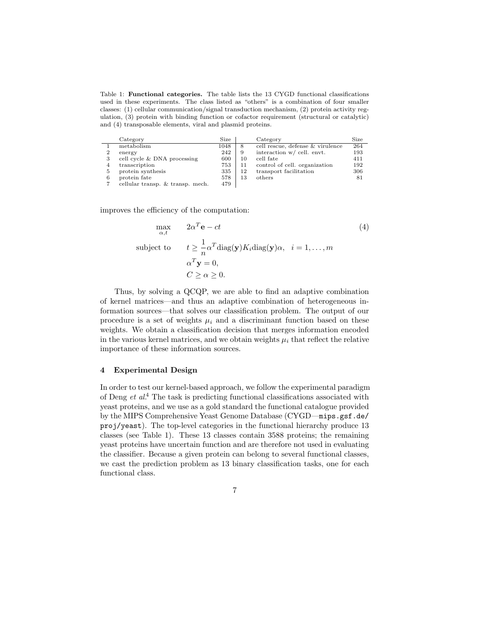Table 1: Functional categories. The table lists the 13 CYGD functional classifications used in these experiments. The class listed as "others" is a combination of four smaller classes: (1) cellular communication/signal transduction mechanism, (2) protein activity regulation, (3) protein with binding function or cofactor requirement (structural or catalytic) and (4) transposable elements, viral and plasmid proteins.

|   | Category                         | Size |    | Category                         | Size |
|---|----------------------------------|------|----|----------------------------------|------|
|   | metabolism                       | 1048 | 8  | cell rescue, defense & virulence | 264  |
|   | energy                           | 242  | 9  | interaction w/ cell. envt.       | 193  |
|   | cell cycle $&$ DNA processing    | 600  | 10 | cell fate                        | 411  |
| 4 | transcription                    | 753  | 11 | control of cell. organization    | 192  |
| 5 | protein synthesis                | 335  | 12 | transport facilitation           | 306  |
| 6 | protein fate                     | 578  | 13 | others                           | 81   |
|   | cellular transp. & transp. mech. | 479  |    |                                  |      |

improves the efficiency of the computation:

$$
\max_{\alpha, t} \qquad 2\alpha^T \mathbf{e} - ct \tag{4}
$$
\n
$$
\text{subject to} \qquad t \ge \frac{1}{n} \alpha^T \text{diag}(\mathbf{y}) K_i \text{diag}(\mathbf{y}) \alpha, \quad i = 1, \dots, m
$$
\n
$$
\alpha^T \mathbf{y} = 0,
$$
\n
$$
C \ge \alpha \ge 0.
$$

Thus, by solving a QCQP, we are able to find an adaptive combination of kernel matrices—and thus an adaptive combination of heterogeneous information sources—that solves our classification problem. The output of our procedure is a set of weights  $\mu_i$  and a discriminant function based on these weights. We obtain a classification decision that merges information encoded in the various kernel matrices, and we obtain weights  $\mu_i$  that reflect the relative importance of these information sources.

#### 4 Experimental Design

In order to test our kernel-based approach, we follow the experimental paradigm of Deng et  $al^4$ . The task is predicting functional classifications associated with yeast proteins, and we use as a gold standard the functional catalogue provided by the MIPS Comprehensive Yeast Genome Database (CYGD—mips.gsf.de/ proj/yeast). The top-level categories in the functional hierarchy produce 13 classes (see Table 1). These 13 classes contain 3588 proteins; the remaining yeast proteins have uncertain function and are therefore not used in evaluating the classifier. Because a given protein can belong to several functional classes, we cast the prediction problem as 13 binary classification tasks, one for each functional class.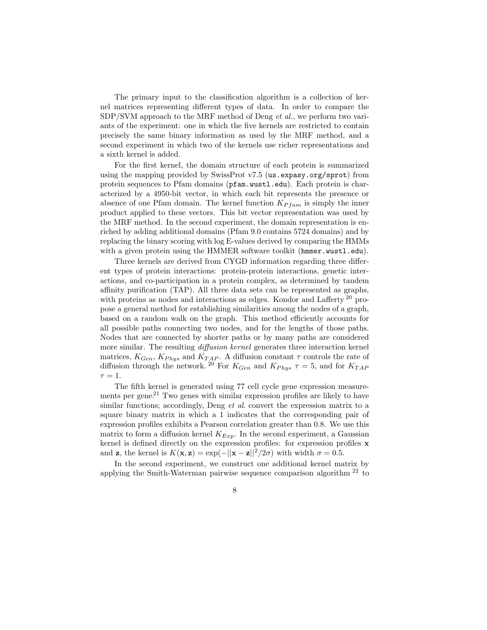The primary input to the classification algorithm is a collection of kernel matrices representing different types of data. In order to compare the SDP/SVM approach to the MRF method of Deng et al., we perform two variants of the experiment: one in which the five kernels are restricted to contain precisely the same binary information as used by the MRF method, and a second experiment in which two of the kernels use richer representations and a sixth kernel is added.

For the first kernel, the domain structure of each protein is summarized using the mapping provided by SwissProt v7.5 (us.expasy.org/sprot) from protein sequences to Pfam domains (pfam.wustl.edu). Each protein is characterized by a 4950-bit vector, in which each bit represents the presence or absence of one Pfam domain. The kernel function  $K_{P f a m}$  is simply the inner product applied to these vectors. This bit vector representation was used by the MRF method. In the second experiment, the domain representation is enriched by adding additional domains (Pfam 9.0 contains 5724 domains) and by replacing the binary scoring with log E-values derived by comparing the HMMs with a given protein using the HMMER software toolkit (hmmer.wustl.edu).

Three kernels are derived from CYGD information regarding three different types of protein interactions: protein-protein interactions, genetic interactions, and co-participation in a protein complex, as determined by tandem affinity purification (TAP). All three data sets can be represented as graphs, with proteins as nodes and interactions as edges. Kondor and Lafferty<sup>20</sup> propose a general method for establishing similarities among the nodes of a graph, based on a random walk on the graph. This method efficiently accounts for all possible paths connecting two nodes, and for the lengths of those paths. Nodes that are connected by shorter paths or by many paths are considered more similar. The resulting *diffusion kernel* generates three interaction kernel matrices,  $K_{Gen}$ ,  $K_{Phys}$  and  $K_{TAP}$ . A diffusion constant  $\tau$  controls the rate of diffusion through the network. <sup>20</sup> For  $K_{Gen}$  and  $K_{Phys} \tau = 5$ , and for  $K_{TAP}$  $\tau = 1$ .

The fifth kernel is generated using 77 cell cycle gene expression measurements per gene.<sup>21</sup> Two genes with similar expression profiles are likely to have similar functions; accordingly, Deng *et al.* convert the expression matrix to a square binary matrix in which a 1 indicates that the corresponding pair of expression profiles exhibits a Pearson correlation greater than 0.8. We use this matrix to form a diffusion kernel  $K_{Exp}$ . In the second experiment, a Gaussian kernel is defined directly on the expression profiles: for expression profiles x and **z**, the kernel is  $K(\mathbf{x}, \mathbf{z}) = \exp(-||\mathbf{x} - \mathbf{z}||^2 / 2\sigma)$  with width  $\sigma = 0.5$ .

In the second experiment, we construct one additional kernel matrix by applying the Smith-Waterman pairwise sequence comparison algorithm <sup>22</sup> to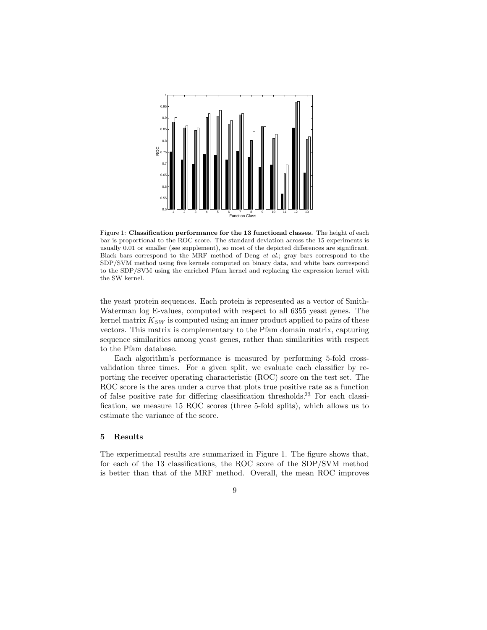

Figure 1: Classification performance for the 13 functional classes. The height of each bar is proportional to the ROC score. The standard deviation across the 15 experiments is usually 0.01 or smaller (see supplement), so most of the depicted differences are significant. Black bars correspond to the MRF method of Deng et al.; gray bars correspond to the SDP/SVM method using five kernels computed on binary data, and white bars correspond to the SDP/SVM using the enriched Pfam kernel and replacing the expression kernel with the SW kernel.

the yeast protein sequences. Each protein is represented as a vector of Smith-Waterman log E-values, computed with respect to all 6355 yeast genes. The kernel matrix  $K_{SW}$  is computed using an inner product applied to pairs of these vectors. This matrix is complementary to the Pfam domain matrix, capturing sequence similarities among yeast genes, rather than similarities with respect to the Pfam database.

Each algorithm's performance is measured by performing 5-fold crossvalidation three times. For a given split, we evaluate each classifier by reporting the receiver operating characteristic (ROC) score on the test set. The ROC score is the area under a curve that plots true positive rate as a function of false positive rate for differing classification thresholds.<sup>23</sup> For each classification, we measure 15 ROC scores (three 5-fold splits), which allows us to estimate the variance of the score.

### 5 Results

The experimental results are summarized in Figure 1. The figure shows that, for each of the 13 classifications, the ROC score of the SDP/SVM method is better than that of the MRF method. Overall, the mean ROC improves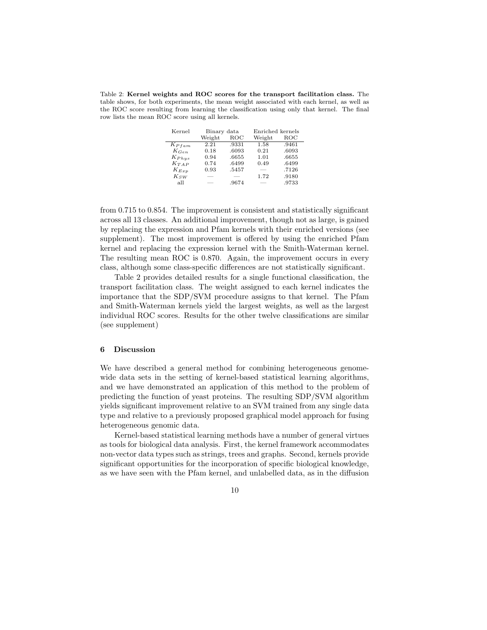Table 2: Kernel weights and ROC scores for the transport facilitation class. The table shows, for both experiments, the mean weight associated with each kernel, as well as the ROC score resulting from learning the classification using only that kernel. The final row lists the mean ROC score using all kernels.

| Kernel     | Binary data |       | Enriched kernels |       |
|------------|-------------|-------|------------------|-------|
|            | Weight      | ROC   | Weight           | ROC   |
| $K_{Pfam}$ | 2.21        | .9331 | 1.58             | .9461 |
| $K_{Gen}$  | 0.18        | .6093 | 0.21             | .6093 |
| $K_{Phys}$ | 0.94        | .6655 | 1.01             | .6655 |
| $K_{TAP}$  | 0.74        | .6499 | 0.49             | .6499 |
| $K_{Exp}$  | 0.93        | .5457 |                  | .7126 |
| $K_{SW}$   |             |       | 1.72             | .9180 |
| all        |             | .9674 |                  | .9733 |

from 0.715 to 0.854. The improvement is consistent and statistically significant across all 13 classes. An additional improvement, though not as large, is gained by replacing the expression and Pfam kernels with their enriched versions (see supplement). The most improvement is offered by using the enriched Pfam kernel and replacing the expression kernel with the Smith-Waterman kernel. The resulting mean ROC is 0.870. Again, the improvement occurs in every class, although some class-specific differences are not statistically significant.

Table 2 provides detailed results for a single functional classification, the transport facilitation class. The weight assigned to each kernel indicates the importance that the SDP/SVM procedure assigns to that kernel. The Pfam and Smith-Waterman kernels yield the largest weights, as well as the largest individual ROC scores. Results for the other twelve classifications are similar (see supplement)

# 6 Discussion

We have described a general method for combining heterogeneous genomewide data sets in the setting of kernel-based statistical learning algorithms, and we have demonstrated an application of this method to the problem of predicting the function of yeast proteins. The resulting SDP/SVM algorithm yields significant improvement relative to an SVM trained from any single data type and relative to a previously proposed graphical model approach for fusing heterogeneous genomic data.

Kernel-based statistical learning methods have a number of general virtues as tools for biological data analysis. First, the kernel framework accommodates non-vector data types such as strings, trees and graphs. Second, kernels provide significant opportunities for the incorporation of specific biological knowledge, as we have seen with the Pfam kernel, and unlabelled data, as in the diffusion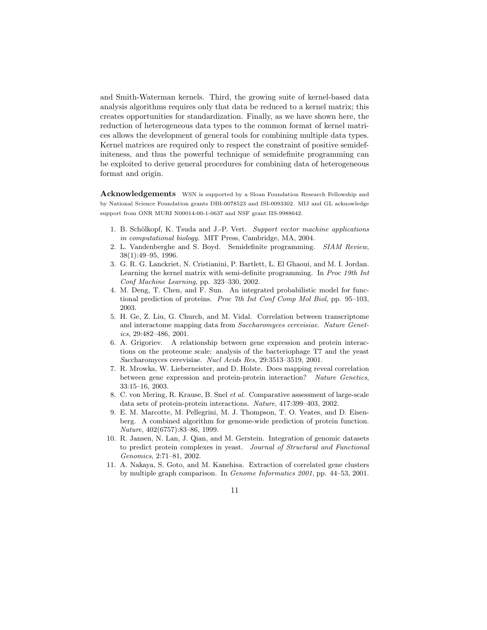and Smith-Waterman kernels. Third, the growing suite of kernel-based data analysis algorithms requires only that data be reduced to a kernel matrix; this creates opportunities for standardization. Finally, as we have shown here, the reduction of heterogeneous data types to the common format of kernel matrices allows the development of general tools for combining multiple data types. Kernel matrices are required only to respect the constraint of positive semidefiniteness, and thus the powerful technique of semidefinite programming can be exploited to derive general procedures for combining data of heterogeneous format and origin.

Acknowledgements WSN is supported by a Sloan Foundation Research Fellowship and by National Science Foundation grants DBI-0078523 and ISI-0093302. MIJ and GL acknowledge support from ONR MURI N00014-00-1-0637 and NSF grant IIS-9988642.

- 1. B. Schölkopf, K. Tsuda and J.-P. Vert. Support vector machine applications in computational biology. MIT Press, Cambridge, MA, 2004.
- 2. L. Vandenberghe and S. Boyd. Semidefinite programming. SIAM Review, 38(1):49–95, 1996.
- 3. G. R. G. Lanckriet, N. Cristianini, P. Bartlett, L. El Ghaoui, and M. I. Jordan. Learning the kernel matrix with semi-definite programming. In Proc 19th Int Conf Machine Learning, pp. 323–330, 2002.
- 4. M. Deng, T. Chen, and F. Sun. An integrated probabilistic model for functional prediction of proteins. Proc 7th Int Conf Comp Mol Biol, pp. 95–103, 2003.
- 5. H. Ge, Z. Liu, G. Church, and M. Vidal. Correlation between transcriptome and interactome mapping data from Saccharomyces cerevisiae. Nature Genetics, 29:482–486, 2001.
- 6. A. Grigoriev. A relationship between gene expression and protein interactions on the proteome scale: analysis of the bacteriophage T7 and the yeast Saccharomyces cerevisiae. Nucl Acids Res, 29:3513–3519, 2001.
- 7. R. Mrowka, W. Lieberneister, and D. Holste. Does mapping reveal correlation between gene expression and protein-protein interaction? Nature Genetics, 33:15–16, 2003.
- 8. C. von Mering, R. Krause, B. Snel et al. Comparative assessment of large-scale data sets of protein-protein interactions. Nature, 417:399–403, 2002.
- 9. E. M. Marcotte, M. Pellegrini, M. J. Thompson, T. O. Yeates, and D. Eisenberg. A combined algorithm for genome-wide prediction of protein function. Nature, 402(6757):83–86, 1999.
- 10. R. Jansen, N. Lan, J. Qian, and M. Gerstein. Integration of genomic datasets to predict protein complexes in yeast. Journal of Structural and Functional Genomics, 2:71–81, 2002.
- 11. A. Nakaya, S. Goto, and M. Kanehisa. Extraction of correlated gene clusters by multiple graph comparison. In Genome Informatics 2001, pp. 44–53, 2001.
	- 11